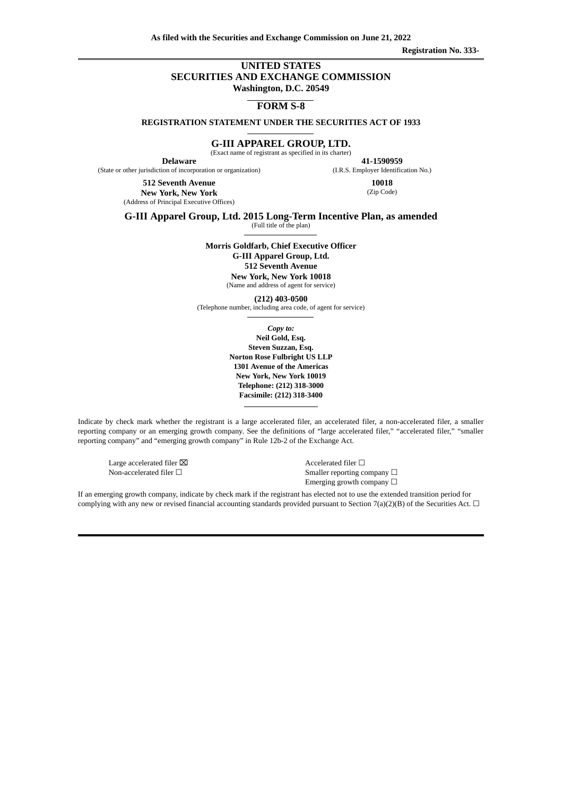**As filed with the Securities and Exchange Commission on June 21, 2022**

**Registration No. 333-**

#### **UNITED STATES SECURITIES AND EXCHANGE COMMISSION Washington, D.C. 20549**

**FORM S-8**

**REGISTRATION STATEMENT UNDER THE SECURITIES ACT OF 1933**

**G-III APPAREL GROUP, LTD.**

(Exact name of registrant as specified in its charter)

**Delaware** (State or other jurisdiction of incorporation or organization)

> **512 Seventh Avenue New York, New York** (Address of Principal Executive Offices)

**41‑1590959** (I.R.S. Employer Identification No.) **10018**

(Zip Code)

**G-III Apparel Group, Ltd. 2015 Long-Term Incentive Plan, as amended**

(Full title of the plan)

**Morris Goldfarb, Chief Executive Officer G-III Apparel Group, Ltd. 512 Seventh Avenue New York, New York 10018**

(Name and address of agent for service)

**(212) 403-0500**

(Telephone number, including area code, of agent for service)

*Copy to:* **Neil Gold, Esq. Steven Suzzan, Esq. Norton Rose Fulbright US LLP 1301 Avenue of the Americas New York, New York 10019 Telephone: (212) 318-3000 Facsimile: (212) 318-3400**

Indicate by check mark whether the registrant is a large accelerated filer, an accelerated filer, a non-accelerated filer, a smaller reporting company or an emerging growth company. See the definitions of "large accelerated filer," "accelerated filer," "smaller reporting company" and "emerging growth company" in Rule 12b-2 of the Exchange Act.

Large accelerated filer ⊠ and a set of the Accelerated filer □

Non-accelerated filer □ state of the Smaller reporting company □ Emerging growth company  $\Box$ 

If an emerging growth company, indicate by check mark if the registrant has elected not to use the extended transition period for complying with any new or revised financial accounting standards provided pursuant to Section 7(a)(2)(B) of the Securities Act.  $\Box$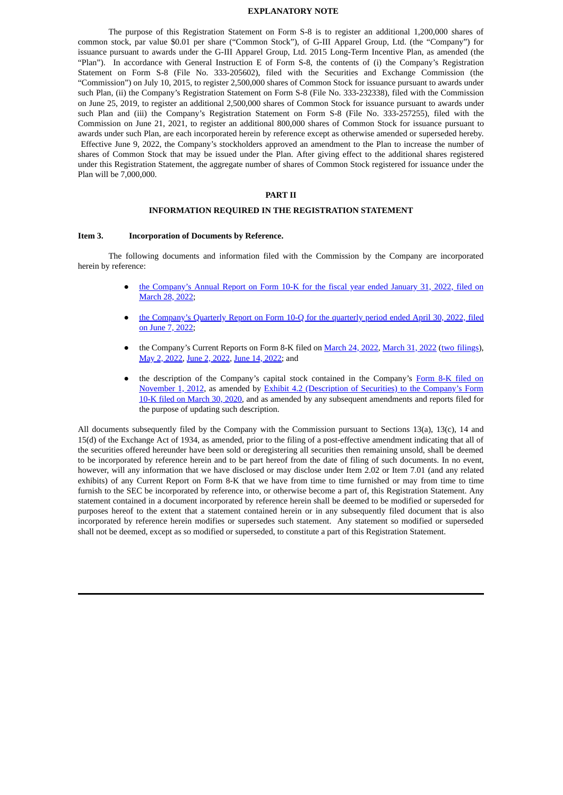#### **EXPLANATORY NOTE**

The purpose of this Registration Statement on Form S-8 is to register an additional 1,200,000 shares of common stock, par value \$0.01 per share ("Common Stock"), of G-III Apparel Group, Ltd. (the "Company") for issuance pursuant to awards under the G-III Apparel Group, Ltd. 2015 Long-Term Incentive Plan, as amended (the "Plan"). In accordance with General Instruction E of Form S-8, the contents of (i) the Company's Registration Statement on Form S-8 (File No. 333-205602), filed with the Securities and Exchange Commission (the "Commission") on July 10, 2015, to register 2,500,000 shares of Common Stock for issuance pursuant to awards under such Plan, (ii) the Company's Registration Statement on Form S-8 (File No. 333-232338), filed with the Commission on June 25, 2019, to register an additional 2,500,000 shares of Common Stock for issuance pursuant to awards under such Plan and (iii) the Company's Registration Statement on Form S-8 (File No. 333-257255), filed with the Commission on June 21, 2021, to register an additional 800,000 shares of Common Stock for issuance pursuant to awards under such Plan, are each incorporated herein by reference except as otherwise amended or superseded hereby. Effective June 9, 2022, the Company's stockholders approved an amendment to the Plan to increase the number of shares of Common Stock that may be issued under the Plan. After giving effect to the additional shares registered under this Registration Statement, the aggregate number of shares of Common Stock registered for issuance under the Plan will be 7,000,000.

#### **PART II**

#### **INFORMATION REQUIRED IN THE REGISTRATION STATEMENT**

#### **Item 3. Incorporation of Documents by Reference.**

The following documents and information filed with the Commission by the Company are incorporated herein by reference:

- the [Company's](https://www.sec.gov/ix?doc=/Archives/edgar/data/0000821002/000155837022004512/giii-20220131x10k.htm) Annual Report on Form 10-K for the fiscal year ended January 31, 2022, filed on March 28, 2022;
- the [Company's](https://www.sec.gov/ix?doc=/Archives/edgar/data/0000821002/000155837022009780/giii-20220430x10q.htm) Quarterly Report on Form 10-Q for the quarterly period ended April 30, 2022, filed on June 7, 2022;
- the Company's Current Reports on Form 8-K filed on [March](https://www.sec.gov/ix?doc=/Archives/edgar/data/0000821002/000155837022004941/giii-20220329x8k.htm) 24, 2022, March 31, 2022 (two [filings](https://www.sec.gov/ix?doc=/Archives/edgar/data/0000821002/000155837022004928/giii-20220331x8k.htm)), May 2, [2022,](https://www.sec.gov/ix?doc=/Archives/edgar/data/0000821002/000155837022006569/giii-20220502x8k.htm) June 2, [2022](https://www.sec.gov/ix?doc=/Archives/edgar/data/0000821002/000155837022009638/giii-20220531x8k.htm), June 14, [2022;](https://www.sec.gov/ix?doc=/Archives/edgar/data/0000821002/000155837022010017/giii-20220609x8k.htm) and
- the description of the Company's capital stock contained in the Company's Form 8-K filed on November 1, 2012, as amended by Exhibit 4.2 [\(Description](https://www.sec.gov/Archives/edgar/data/821002/000119312512446616/d432017dex991.htm) of Securities) to the Company's Form 10-K filed on March 30, 2020, and as amended by any subsequent [amendments](https://www.sec.gov/Archives/edgar/data/821002/000155837020003389/ex-4d2.htm) and reports filed for the purpose of updating such description.

All documents subsequently filed by the Company with the Commission pursuant to Sections 13(a), 13(c), 14 and 15(d) of the Exchange Act of 1934, as amended, prior to the filing of a post-effective amendment indicating that all of the securities offered hereunder have been sold or deregistering all securities then remaining unsold, shall be deemed to be incorporated by reference herein and to be part hereof from the date of filing of such documents. In no event, however, will any information that we have disclosed or may disclose under Item 2.02 or Item 7.01 (and any related exhibits) of any Current Report on Form 8-K that we have from time to time furnished or may from time to time furnish to the SEC be incorporated by reference into, or otherwise become a part of, this Registration Statement. Any statement contained in a document incorporated by reference herein shall be deemed to be modified or superseded for purposes hereof to the extent that a statement contained herein or in any subsequently filed document that is also incorporated by reference herein modifies or supersedes such statement. Any statement so modified or superseded shall not be deemed, except as so modified or superseded, to constitute a part of this Registration Statement.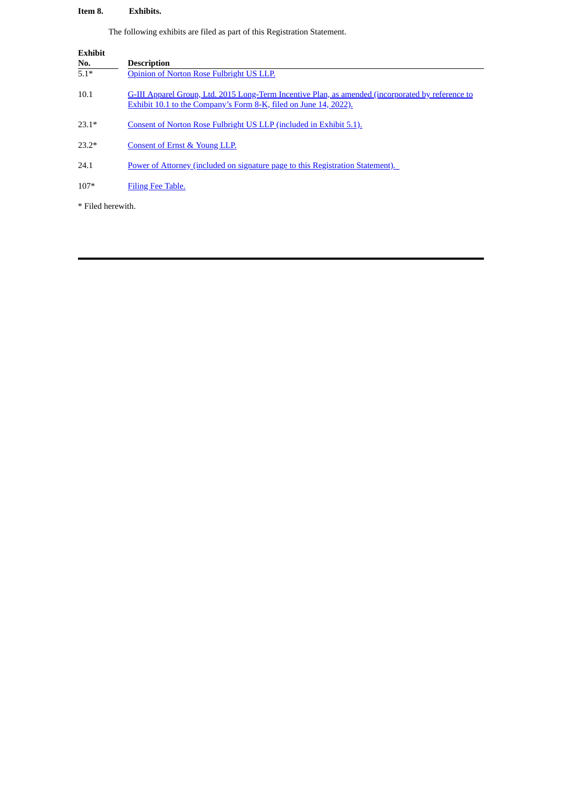## **Item 8. Exhibits.**

The following exhibits are filed as part of this Registration Statement.

| <b>Exhibit</b><br>No. | <b>Description</b>                                                                                                                                                    |
|-----------------------|-----------------------------------------------------------------------------------------------------------------------------------------------------------------------|
| $5.1*$                | Opinion of Norton Rose Fulbright US LLP.                                                                                                                              |
| 10.1                  | G-III Apparel Group, Ltd. 2015 Long-Term Incentive Plan, as amended (incorporated by reference to<br>Exhibit 10.1 to the Company's Form 8-K, filed on June 14, 2022). |
| $23.1*$               | Consent of Norton Rose Fulbright US LLP (included in Exhibit 5.1).                                                                                                    |
| $23.2*$               | Consent of Ernst & Young LLP.                                                                                                                                         |
| 24.1                  | Power of Attorney (included on signature page to this Registration Statement).                                                                                        |
| $107*$                | Filing Fee Table.                                                                                                                                                     |
| * Filed herewith.     |                                                                                                                                                                       |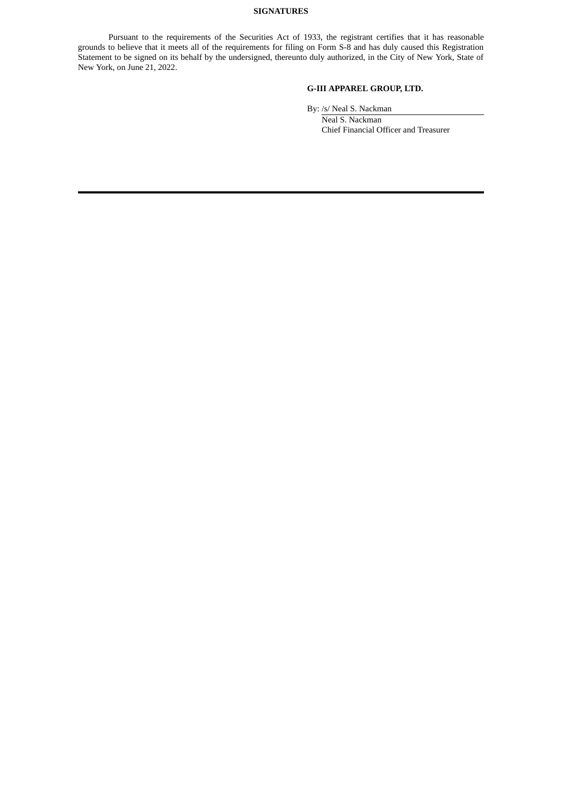#### **SIGNATURES**

Pursuant to the requirements of the Securities Act of 1933, the registrant certifies that it has reasonable grounds to believe that it meets all of the requirements for filing on Form S-8 and has duly caused this Registration Statement to be signed on its behalf by the undersigned, thereunto duly authorized, in the City of New York, State of New York, on June 21, 2022.

## **G-III APPAREL GROUP, LTD.**

By: /s/ Neal S. Nackman

<span id="page-3-0"></span>Neal S. Nackman Chief Financial Officer and Treasurer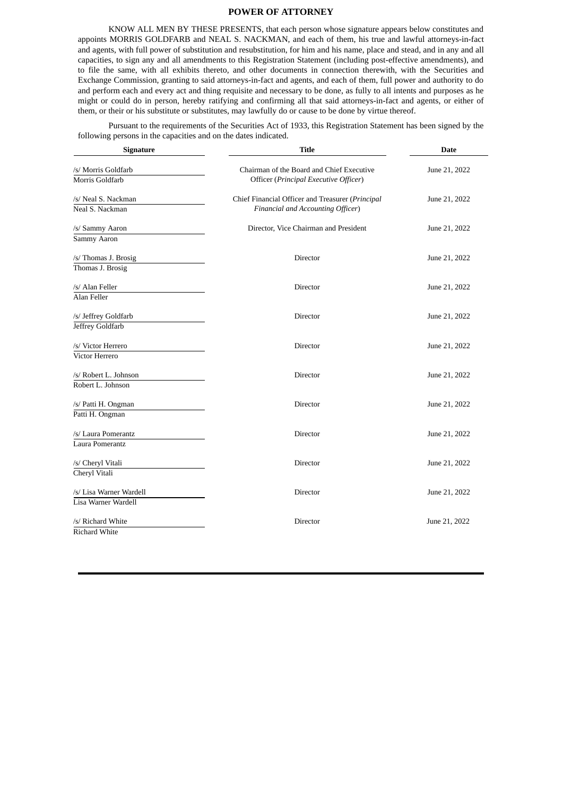#### **POWER OF ATTORNEY**

KNOW ALL MEN BY THESE PRESENTS, that each person whose signature appears below constitutes and appoints MORRIS GOLDFARB and NEAL S. NACKMAN, and each of them, his true and lawful attorneys-in-fact and agents, with full power of substitution and resubstitution, for him and his name, place and stead, and in any and all capacities, to sign any and all amendments to this Registration Statement (including post-effective amendments), and to file the same, with all exhibits thereto, and other documents in connection therewith, with the Securities and Exchange Commission, granting to said attorneys-in-fact and agents, and each of them, full power and authority to do and perform each and every act and thing requisite and necessary to be done, as fully to all intents and purposes as he might or could do in person, hereby ratifying and confirming all that said attorneys-in-fact and agents, or either of them, or their or his substitute or substitutes, may lawfully do or cause to be done by virtue thereof.

Pursuant to the requirements of the Securities Act of 1933, this Registration Statement has been signed by the following persons in the capacities and on the dates indicated.

| Signature                                      | <b>Title</b>                                                                          | <b>Date</b>   |  |
|------------------------------------------------|---------------------------------------------------------------------------------------|---------------|--|
| /s/ Morris Goldfarb<br>Morris Goldfarb         | Chairman of the Board and Chief Executive<br>Officer (Principal Executive Officer)    | June 21, 2022 |  |
| /s/ Neal S. Nackman<br>Neal S. Nackman         | Chief Financial Officer and Treasurer (Principal<br>Financial and Accounting Officer) | June 21, 2022 |  |
| /s/ Sammy Aaron<br>Sammy Aaron                 | Director, Vice Chairman and President                                                 | June 21, 2022 |  |
| /s/ Thomas J. Brosig<br>Thomas J. Brosig       | Director                                                                              | June 21, 2022 |  |
| /s/ Alan Feller<br>Alan Feller                 | Director                                                                              | June 21, 2022 |  |
| /s/ Jeffrey Goldfarb<br>Jeffrey Goldfarb       | Director                                                                              | June 21, 2022 |  |
| /s/ Victor Herrero<br>Victor Herrero           | Director                                                                              | June 21, 2022 |  |
| /s/ Robert L. Johnson<br>Robert L. Johnson     | Director                                                                              | June 21, 2022 |  |
| /s/ Patti H. Ongman<br>Patti H. Ongman         | Director                                                                              | June 21, 2022 |  |
| /s/ Laura Pomerantz<br>Laura Pomerantz         | Director                                                                              | June 21, 2022 |  |
| /s/ Cheryl Vitali<br>Cheryl Vitali             | Director                                                                              | June 21, 2022 |  |
| /s/ Lisa Warner Wardell<br>Lisa Warner Wardell | Director                                                                              | June 21, 2022 |  |
| /s/ Richard White<br><b>Richard White</b>      | Director                                                                              | June 21, 2022 |  |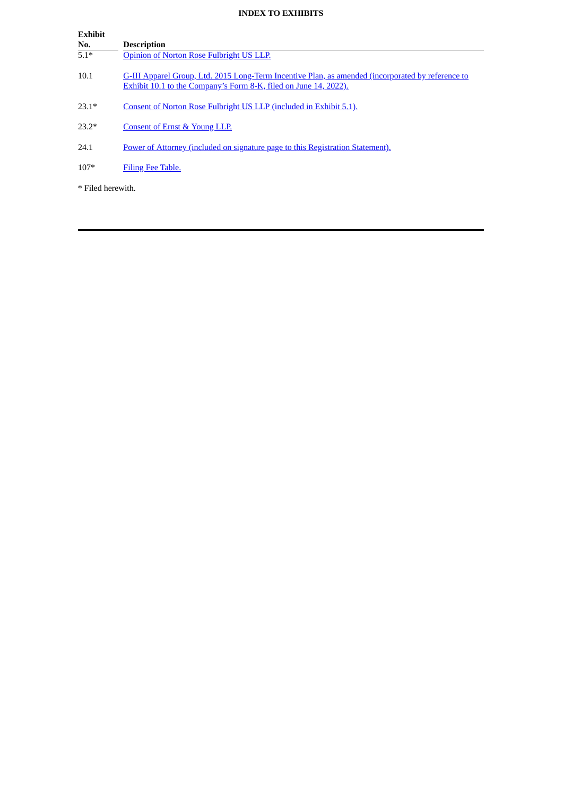## **INDEX TO EXHIBITS**

 $\overline{\phantom{a}}$ 

| <b>Exhibit</b>    |                                                                                                                                                                       |
|-------------------|-----------------------------------------------------------------------------------------------------------------------------------------------------------------------|
| No.               | <b>Description</b>                                                                                                                                                    |
| $5.1*$            | Opinion of Norton Rose Fulbright US LLP.                                                                                                                              |
| 10.1              | G-III Apparel Group, Ltd. 2015 Long-Term Incentive Plan, as amended (incorporated by reference to<br>Exhibit 10.1 to the Company's Form 8-K, filed on June 14, 2022). |
| $23.1*$           | Consent of Norton Rose Fulbright US LLP (included in Exhibit 5.1).                                                                                                    |
| $23.2*$           | Consent of Ernst & Young LLP.                                                                                                                                         |
| 24.1              | Power of Attorney (included on signature page to this Registration Statement).                                                                                        |
| $107*$            | Filing Fee Table.                                                                                                                                                     |
| * Filed herewith. |                                                                                                                                                                       |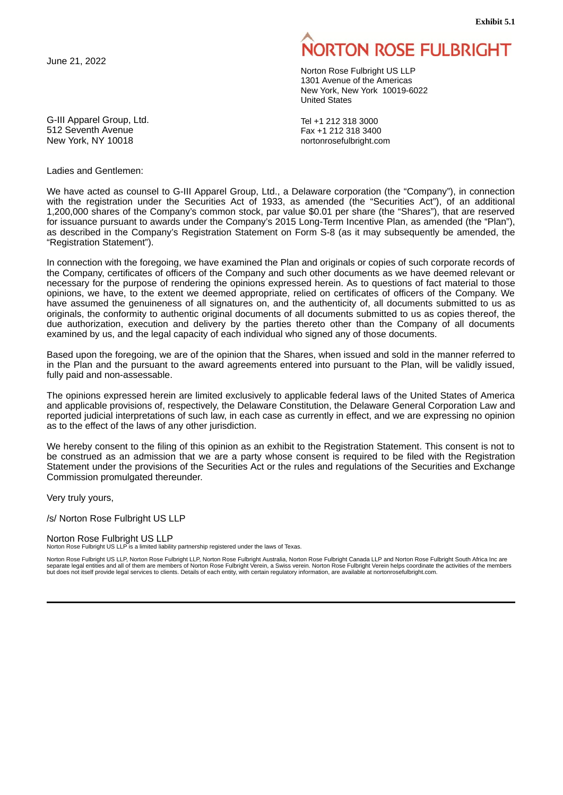**Exhibit 5.1**

<span id="page-6-0"></span>June 21, 2022

G-III Apparel Group, Ltd. 512 Seventh Avenue New York, NY 10018

Ladies and Gentlemen:

# **ORTON ROSE FULBRIGHT**

Norton Rose Fulbright US LLP 1301 Avenue of the Americas New York, New York 10019-6022 United States

Tel +1 212 318 3000 Fax +1 212 318 3400 nortonrosefulbright.com

We have acted as counsel to G-III Apparel Group, Ltd., a Delaware corporation (the "Company"), in connection with the registration under the Securities Act of 1933, as amended (the "Securities Act"), of an additional 1,200,000 shares of the Company's common stock, par value \$0.01 per share (the "Shares"), that are reserved for issuance pursuant to awards under the Company's 2015 Long-Term Incentive Plan, as amended (the "Plan"), as described in the Company's Registration Statement on Form S-8 (as it may subsequently be amended, the "Registration Statement").

In connection with the foregoing, we have examined the Plan and originals or copies of such corporate records of the Company, certificates of officers of the Company and such other documents as we have deemed relevant or necessary for the purpose of rendering the opinions expressed herein. As to questions of fact material to those opinions, we have, to the extent we deemed appropriate, relied on certificates of officers of the Company. We have assumed the genuineness of all signatures on, and the authenticity of, all documents submitted to us as originals, the conformity to authentic original documents of all documents submitted to us as copies thereof, the due authorization, execution and delivery by the parties thereto other than the Company of all documents examined by us, and the legal capacity of each individual who signed any of those documents.

Based upon the foregoing, we are of the opinion that the Shares, when issued and sold in the manner referred to in the Plan and the pursuant to the award agreements entered into pursuant to the Plan, will be validly issued, fully paid and non-assessable.

The opinions expressed herein are limited exclusively to applicable federal laws of the United States of America and applicable provisions of, respectively, the Delaware Constitution, the Delaware General Corporation Law and reported judicial interpretations of such law, in each case as currently in effect, and we are expressing no opinion as to the effect of the laws of any other jurisdiction.

We hereby consent to the filing of this opinion as an exhibit to the Registration Statement. This consent is not to be construed as an admission that we are a party whose consent is required to be filed with the Registration Statement under the provisions of the Securities Act or the rules and regulations of the Securities and Exchange Commission promulgated thereunder.

Very truly yours,

/s/ Norton Rose Fulbright US LLP

Norton Rose Fulbright US LLP

Norton Rose Fulbright US LLP is a limited liability partnership registered under the laws of Texas.

Norton Rose Fulbright US LLP, Norton Rose Fulbright LLP, Norton Rose Fulbright Australia, Norton Rose Fulbright Canada LLP and Norton Rose Fulbright South Africa Inc are<br>separate legal entities and all of them are members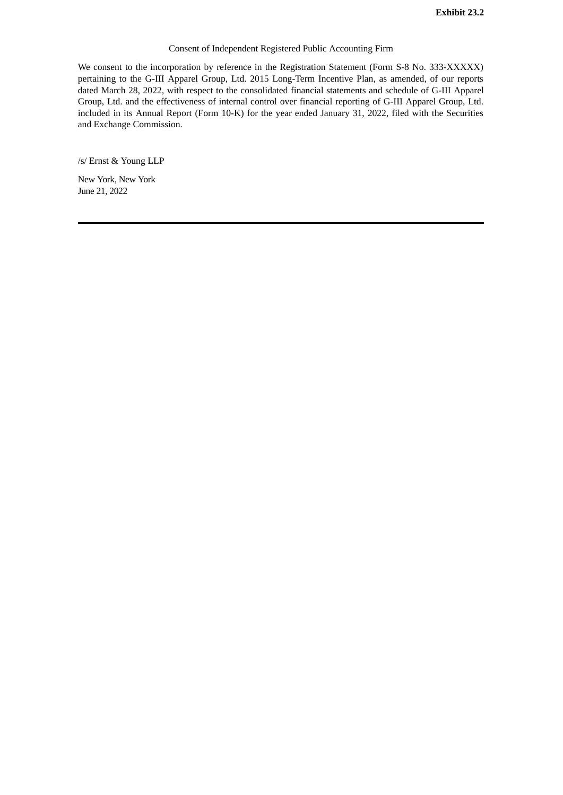## Consent of Independent Registered Public Accounting Firm

<span id="page-7-0"></span>We consent to the incorporation by reference in the Registration Statement (Form S-8 No. 333-XXXXX) pertaining to the G-III Apparel Group, Ltd. 2015 Long-Term Incentive Plan, as amended, of our reports dated March 28, 2022, with respect to the consolidated financial statements and schedule of G-III Apparel Group, Ltd. and the effectiveness of internal control over financial reporting of G-III Apparel Group, Ltd. included in its Annual Report (Form 10-K) for the year ended January 31, 2022, filed with the Securities and Exchange Commission.

/s/ Ernst & Young LLP

New York, New York June 21, 2022